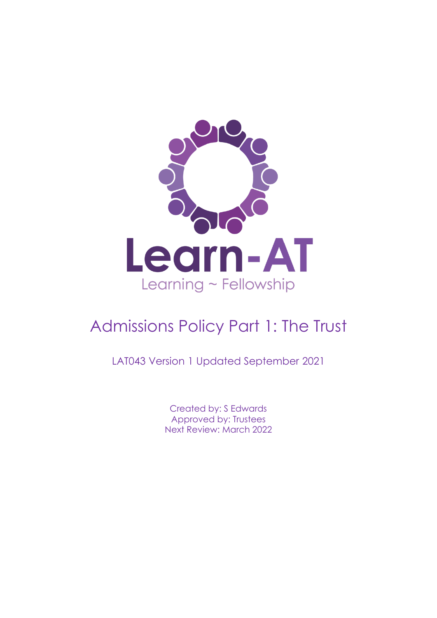

# Admissions Policy Part 1: The Trust

LAT043 Version 1 Updated September 2021

Created by: S Edwards Approved by: Trustees Next Review: March 2022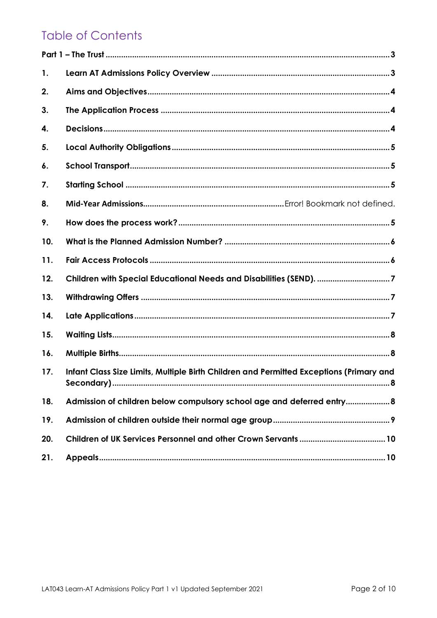# **Table of Contents**

| 1.  |                                                                                         |
|-----|-----------------------------------------------------------------------------------------|
| 2.  |                                                                                         |
| 3.  |                                                                                         |
| 4.  |                                                                                         |
| 5.  |                                                                                         |
| 6.  |                                                                                         |
| 7.  |                                                                                         |
| 8.  |                                                                                         |
| 9.  |                                                                                         |
| 10. |                                                                                         |
| 11. |                                                                                         |
| 12. | Children with Special Educational Needs and Disabilities (SEND). 7                      |
| 13. |                                                                                         |
| 14. |                                                                                         |
| 15. |                                                                                         |
| 16. |                                                                                         |
| 17. | Infant Class Size Limits, Multiple Birth Children and Permitted Exceptions (Primary and |
| 18. | Admission of children below compulsory school age and deferred entry 8                  |
| 19. |                                                                                         |
| 20. |                                                                                         |
| 21. |                                                                                         |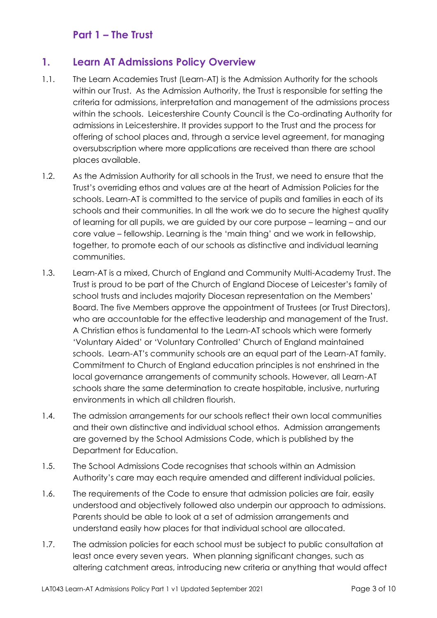# **Part 1 – The Trust**

#### <span id="page-2-1"></span><span id="page-2-0"></span>**1. Learn AT Admissions Policy Overview**

- 1.1. The Learn Academies Trust (Learn-AT) is the Admission Authority for the schools within our Trust. As the Admission Authority, the Trust is responsible for setting the criteria for admissions, interpretation and management of the admissions process within the schools. Leicestershire County Council is the Co-ordinating Authority for admissions in Leicestershire. It provides support to the Trust and the process for offering of school places and, through a service level agreement, for managing oversubscription where more applications are received than there are school places available.
- 1.2. As the Admission Authority for all schools in the Trust, we need to ensure that the Trust's overriding ethos and values are at the heart of Admission Policies for the schools. Learn-AT is committed to the service of pupils and families in each of its schools and their communities. In all the work we do to secure the highest quality of learning for all pupils, we are guided by our core purpose – learning – and our core value – fellowship. Learning is the 'main thing' and we work in fellowship, together, to promote each of our schools as distinctive and individual learning communities.
- 1.3. Learn-AT is a mixed, Church of England and Community Multi-Academy Trust. The Trust is proud to be part of the Church of England Diocese of Leicester's family of school trusts and includes majority Diocesan representation on the Members' Board. The five Members approve the appointment of Trustees (or Trust Directors), who are accountable for the effective leadership and management of the Trust. A Christian ethos is fundamental to the Learn-AT schools which were formerly 'Voluntary Aided' or 'Voluntary Controlled' Church of England maintained schools. Learn-AT's community schools are an equal part of the Learn-AT family. Commitment to Church of England education principles is not enshrined in the local governance arrangements of community schools. However, all Learn-AT schools share the same determination to create hospitable, inclusive, nurturing environments in which all children flourish.
- 1.4. The admission arrangements for our schools reflect their own local communities and their own distinctive and individual school ethos. Admission arrangements are governed by the School Admissions Code, which is published by the Department for Education.
- 1.5. The School Admissions Code recognises that schools within an Admission Authority's care may each require amended and different individual policies.
- 1.6. The requirements of the Code to ensure that admission policies are fair, easily understood and objectively followed also underpin our approach to admissions. Parents should be able to look at a set of admission arrangements and understand easily how places for that individual school are allocated.
- 1.7. The admission policies for each school must be subject to public consultation at least once every seven years. When planning significant changes, such as altering catchment areas, introducing new criteria or anything that would affect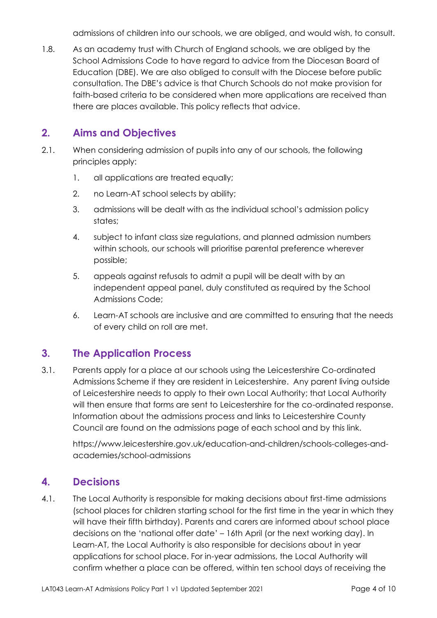admissions of children into our schools, we are obliged, and would wish, to consult.

1.8. As an academy trust with Church of England schools, we are obliged by the School Admissions Code to have regard to advice from the Diocesan Board of Education (DBE). We are also obliged to consult with the Diocese before public consultation. The DBE's advice is that Church Schools do not make provision for faith-based criteria to be considered when more applications are received than there are places available. This policy reflects that advice.

#### <span id="page-3-0"></span>**2. Aims and Objectives**

- 2.1. When considering admission of pupils into any of our schools, the following principles apply:
	- 1. all applications are treated equally;
	- 2. no Learn-AT school selects by ability;
	- 3. admissions will be dealt with as the individual school's admission policy states;
	- 4. subject to infant class size regulations, and planned admission numbers within schools, our schools will prioritise parental preference wherever possible;
	- 5. appeals against refusals to admit a pupil will be dealt with by an independent appeal panel, duly constituted as required by the School Admissions Code;
	- 6. Learn-AT schools are inclusive and are committed to ensuring that the needs of every child on roll are met.

#### <span id="page-3-1"></span>**3. The Application Process**

3.1. Parents apply for a place at our schools using the Leicestershire Co-ordinated Admissions Scheme if they are resident in Leicestershire. Any parent living outside of Leicestershire needs to apply to their own Local Authority; that Local Authority will then ensure that forms are sent to Leicestershire for the co-ordinated response. Information about the admissions process and links to Leicestershire County Council are found on the admissions page of each school and by this link.

https://www.leicestershire.gov.uk/education-and-children/schools-colleges-andacademies/school-admissions

#### <span id="page-3-2"></span>**4. Decisions**

4.1. The Local Authority is responsible for making decisions about first-time admissions (school places for children starting school for the first time in the year in which they will have their fifth birthday). Parents and carers are informed about school place decisions on the 'national offer date' – 16th April (or the next working day). In Learn-AT, the Local Authority is also responsible for decisions about in year applications for school place. For in-year admissions, the Local Authority will confirm whether a place can be offered, within ten school days of receiving the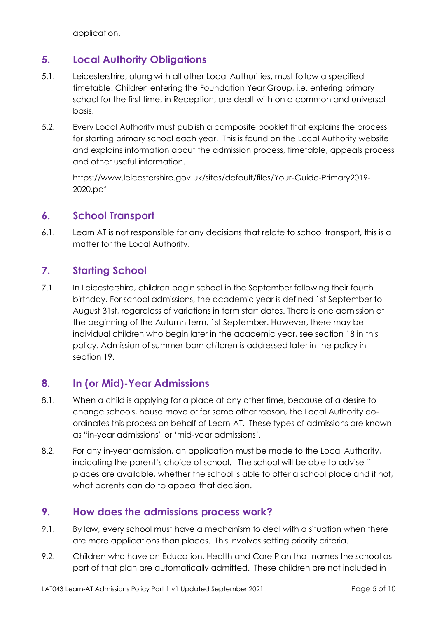application.

# <span id="page-4-0"></span>**5. Local Authority Obligations**

- 5.1. Leicestershire, along with all other Local Authorities, must follow a specified timetable. Children entering the Foundation Year Group, i.e. entering primary school for the first time, in Reception, are dealt with on a common and universal basis.
- 5.2. Every Local Authority must publish a composite booklet that explains the process for starting primary school each year. This is found on the Local Authority website and explains information about the admission process, timetable, appeals process and other useful information.

https://www.leicestershire.gov.uk/sites/default/files/Your-Guide-Primary2019- 2020.pdf

# <span id="page-4-1"></span>**6. School Transport**

6.1. Learn AT is not responsible for any decisions that relate to school transport, this is a matter for the Local Authority.

#### <span id="page-4-2"></span>**7. Starting School**

7.1. In Leicestershire, children begin school in the September following their fourth birthday. For school admissions, the academic year is defined 1st September to August 31st, regardless of variations in term start dates. There is one admission at the beginning of the Autumn term, 1st September. However, there may be individual children who begin later in the academic year, see section 18 in this policy. Admission of summer-born children is addressed later in the policy in section 19.

#### **8. In (or Mid)-Year Admissions**

- 8.1. When a child is applying for a place at any other time, because of a desire to change schools, house move or for some other reason, the Local Authority coordinates this process on behalf of Learn-AT. These types of admissions are known as "in-year admissions" or 'mid-year admissions'.
- 8.2. For any in-year admission, an application must be made to the Local Authority, indicating the parent's choice of school. The school will be able to advise if places are available, whether the school is able to offer a school place and if not, what parents can do to appeal that decision.

#### <span id="page-4-3"></span>**9. How does the admissions process work?**

- 9.1. By law, every school must have a mechanism to deal with a situation when there are more applications than places. This involves setting priority criteria.
- 9.2. Children who have an Education, Health and Care Plan that names the school as part of that plan are automatically admitted. These children are not included in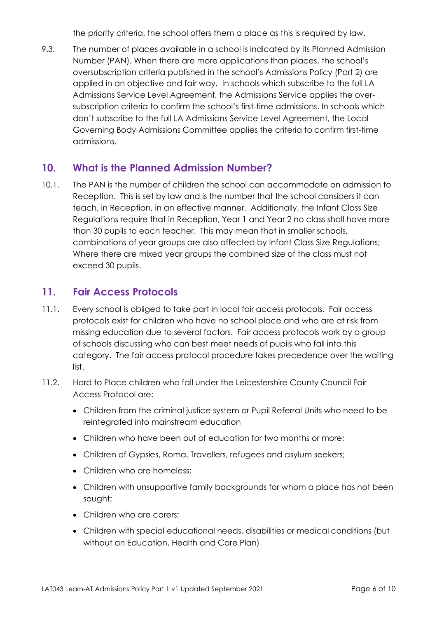the priority criteria, the school offers them a place as this is required by law.

9.3. The number of places available in a school is indicated by its Planned Admission Number (PAN). When there are more applications than places, the school's oversubscription criteria published in the school's Admissions Policy (Part 2) are applied in an objective and fair way. In schools which subscribe to the full LA Admissions Service Level Agreement, the Admissions Service applies the oversubscription criteria to confirm the school's first-time admissions. In schools which don't subscribe to the full LA Admissions Service Level Agreement, the Local Governing Body Admissions Committee applies the criteria to confirm first-time admissions.

#### <span id="page-5-0"></span>**10. What is the Planned Admission Number?**

10.1. The PAN is the number of children the school can accommodate on admission to Reception. This is set by law and is the number that the school considers it can teach, in Reception, in an effective manner. Additionally, the Infant Class Size Regulations require that in Reception, Year 1 and Year 2 no class shall have more than 30 pupils to each teacher. This may mean that in smaller schools, combinations of year groups are also affected by Infant Class Size Regulations; Where there are mixed year groups the combined size of the class must not exceed 30 pupils.

#### <span id="page-5-1"></span>**11. Fair Access Protocols**

- 11.1. Every school is obliged to take part in local fair access protocols. Fair access protocols exist for children who have no school place and who are at risk from missing education due to several factors. Fair access protocols work by a group of schools discussing who can best meet needs of pupils who fall into this category. The fair access protocol procedure takes precedence over the waiting list.
- 11.2. Hard to Place children who fall under the Leicestershire County Council Fair Access Protocol are:
	- Children from the criminal justice system or Pupil Referral Units who need to be reintegrated into mainstream education
	- Children who have been out of education for two months or more;
	- Children of Gypsies, Roma, Travellers, refugees and asylum seekers;
	- Children who are homeless:
	- Children with unsupportive family backgrounds for whom a place has not been sought;
	- Children who are carers:
	- Children with special educational needs, disabilities or medical conditions (but without an Education, Health and Care Plan)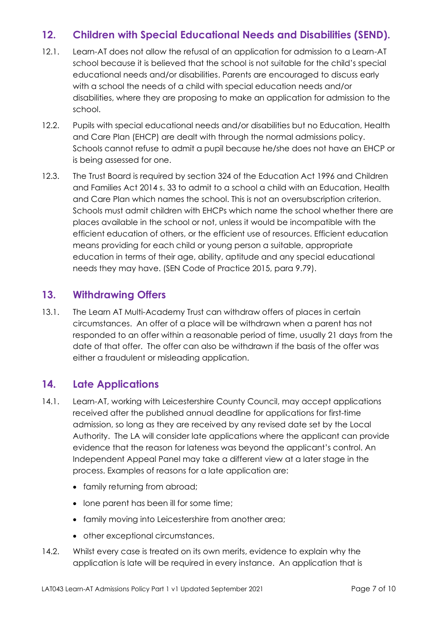# <span id="page-6-0"></span>**12. Children with Special Educational Needs and Disabilities (SEND).**

- 12.1. Learn-AT does not allow the refusal of an application for admission to a Learn-AT school because it is believed that the school is not suitable for the child's special educational needs and/or disabilities. Parents are encouraged to discuss early with a school the needs of a child with special education needs and/or disabilities, where they are proposing to make an application for admission to the school.
- 12.2. Pupils with special educational needs and/or disabilities but no Education, Health and Care Plan (EHCP) are dealt with through the normal admissions policy. Schools cannot refuse to admit a pupil because he/she does not have an EHCP or is being assessed for one.
- 12.3. The Trust Board is required by section 324 of the Education Act 1996 and Children and Families Act 2014 s. 33 to admit to a school a child with an Education, Health and Care Plan which names the school. This is not an oversubscription criterion. Schools must admit children with EHCPs which name the school whether there are places available in the school or not, unless it would be incompatible with the efficient education of others, or the efficient use of resources. Efficient education means providing for each child or young person a suitable, appropriate education in terms of their age, ability, aptitude and any special educational needs they may have. (SEN Code of Practice 2015, para 9.79).

#### <span id="page-6-1"></span>**13. Withdrawing Offers**

13.1. The Learn AT Multi-Academy Trust can withdraw offers of places in certain circumstances. An offer of a place will be withdrawn when a parent has not responded to an offer within a reasonable period of time, usually 21 days from the date of that offer. The offer can also be withdrawn if the basis of the offer was either a fraudulent or misleading application.

#### <span id="page-6-2"></span>**14. Late Applications**

- 14.1. Learn-AT, working with Leicestershire County Council, may accept applications received after the published annual deadline for applications for first-time admission, so long as they are received by any revised date set by the Local Authority. The LA will consider late applications where the applicant can provide evidence that the reason for lateness was beyond the applicant's control. An Independent Appeal Panel may take a different view at a later stage in the process. Examples of reasons for a late application are:
	- family returning from abroad;
	- lone parent has been ill for some time;
	- family moving into Leicestershire from another area;
	- other exceptional circumstances.
- 14.2. Whilst every case is treated on its own merits, evidence to explain why the application is late will be required in every instance. An application that is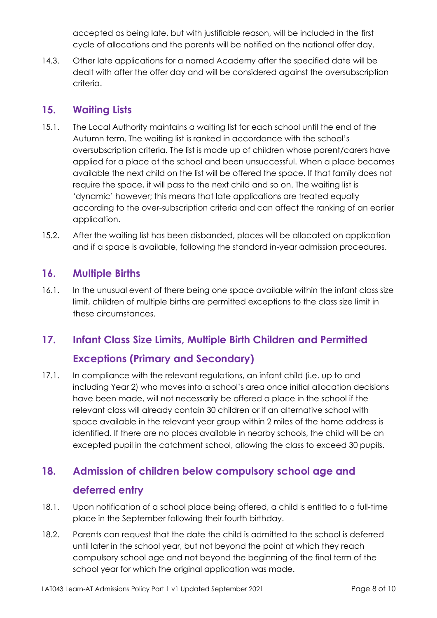accepted as being late, but with justifiable reason, will be included in the first cycle of allocations and the parents will be notified on the national offer day.

14.3. Other late applications for a named Academy after the specified date will be dealt with after the offer day and will be considered against the oversubscription criteria.

#### <span id="page-7-0"></span>**15. Waiting Lists**

- 15.1. The Local Authority maintains a waiting list for each school until the end of the Autumn term. The waiting list is ranked in accordance with the school's oversubscription criteria. The list is made up of children whose parent/carers have applied for a place at the school and been unsuccessful. When a place becomes available the next child on the list will be offered the space. If that family does not require the space, it will pass to the next child and so on. The waiting list is 'dynamic' however; this means that late applications are treated equally according to the over-subscription criteria and can affect the ranking of an earlier application.
- 15.2. After the waiting list has been disbanded, places will be allocated on application and if a space is available, following the standard in-year admission procedures.

# <span id="page-7-1"></span>**16. Multiple Births**

16.1. In the unusual event of there being one space available within the infant class size limit, children of multiple births are permitted exceptions to the class size limit in these circumstances.

# <span id="page-7-2"></span>**17. Infant Class Size Limits, Multiple Birth Children and Permitted**

#### **Exceptions (Primary and Secondary)**

17.1. In compliance with the relevant regulations, an infant child (i.e. up to and including Year 2) who moves into a school's area once initial allocation decisions have been made, will not necessarily be offered a place in the school if the relevant class will already contain 30 children or if an alternative school with space available in the relevant year group within 2 miles of the home address is identified. If there are no places available in nearby schools, the child will be an excepted pupil in the catchment school, allowing the class to exceed 30 pupils.

# <span id="page-7-3"></span>**18. Admission of children below compulsory school age and deferred entry**

- 18.1. Upon notification of a school place being offered, a child is entitled to a full-time place in the September following their fourth birthday.
- 18.2. Parents can request that the date the child is admitted to the school is deferred until later in the school year, but not beyond the point at which they reach compulsory school age and not beyond the beginning of the final term of the school year for which the original application was made.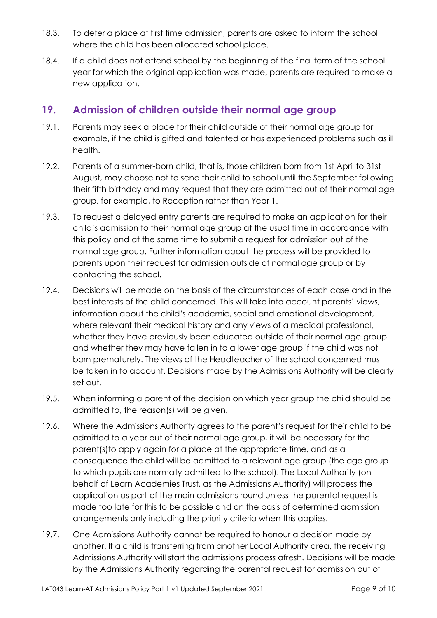- 18.3. To defer a place at first time admission, parents are asked to inform the school where the child has been allocated school place.
- 18.4. If a child does not attend school by the beginning of the final term of the school year for which the original application was made, parents are required to make a new application.

#### <span id="page-8-0"></span>**19. Admission of children outside their normal age group**

- 19.1. Parents may seek a place for their child outside of their normal age group for example, if the child is gifted and talented or has experienced problems such as ill health.
- 19.2. Parents of a summer-born child, that is, those children born from 1st April to 31st August, may choose not to send their child to school until the September following their fifth birthday and may request that they are admitted out of their normal age group, for example, to Reception rather than Year 1.
- 19.3. To request a delayed entry parents are required to make an application for their child's admission to their normal age group at the usual time in accordance with this policy and at the same time to submit a request for admission out of the normal age group. Further information about the process will be provided to parents upon their request for admission outside of normal age group or by contacting the school.
- 19.4. Decisions will be made on the basis of the circumstances of each case and in the best interests of the child concerned. This will take into account parents' views, information about the child's academic, social and emotional development, where relevant their medical history and any views of a medical professional, whether they have previously been educated outside of their normal age group and whether they may have fallen in to a lower age group if the child was not born prematurely. The views of the Headteacher of the school concerned must be taken in to account. Decisions made by the Admissions Authority will be clearly set out.
- 19.5. When informing a parent of the decision on which year group the child should be admitted to, the reason(s) will be given.
- 19.6. Where the Admissions Authority agrees to the parent's request for their child to be admitted to a year out of their normal age group, it will be necessary for the parent(s)to apply again for a place at the appropriate time, and as a consequence the child will be admitted to a relevant age group (the age group to which pupils are normally admitted to the school). The Local Authority (on behalf of Learn Academies Trust, as the Admissions Authority) will process the application as part of the main admissions round unless the parental request is made too late for this to be possible and on the basis of determined admission arrangements only including the priority criteria when this applies.
- 19.7. One Admissions Authority cannot be required to honour a decision made by another. If a child is transferring from another Local Authority area, the receiving Admissions Authority will start the admissions process afresh. Decisions will be made by the Admissions Authority regarding the parental request for admission out of